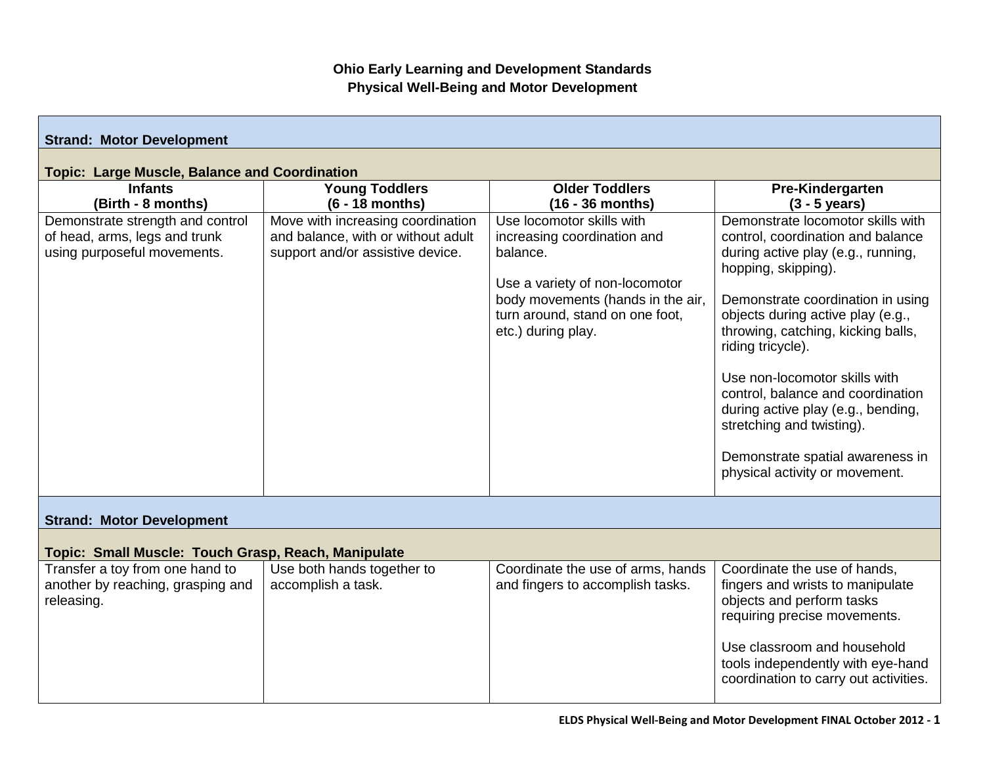## **Ohio Early Learning and Development Standards Physical Well-Being and Motor Development**

| <b>Strand: Motor Development</b>                                                                 |                                                                                                             |                                                                                                                                                                                                      |                                                                                                                                                                                                                                                                                                                                                                                                                                                                                         |  |  |  |
|--------------------------------------------------------------------------------------------------|-------------------------------------------------------------------------------------------------------------|------------------------------------------------------------------------------------------------------------------------------------------------------------------------------------------------------|-----------------------------------------------------------------------------------------------------------------------------------------------------------------------------------------------------------------------------------------------------------------------------------------------------------------------------------------------------------------------------------------------------------------------------------------------------------------------------------------|--|--|--|
| <b>Topic: Large Muscle, Balance and Coordination</b>                                             |                                                                                                             |                                                                                                                                                                                                      |                                                                                                                                                                                                                                                                                                                                                                                                                                                                                         |  |  |  |
| <b>Infants</b>                                                                                   | <b>Young Toddlers</b>                                                                                       | <b>Older Toddlers</b>                                                                                                                                                                                | Pre-Kindergarten                                                                                                                                                                                                                                                                                                                                                                                                                                                                        |  |  |  |
| (Birth - 8 months)                                                                               | $(6 - 18$ months)                                                                                           | $(16 - 36$ months)                                                                                                                                                                                   | $(3 - 5 \text{ years})$                                                                                                                                                                                                                                                                                                                                                                                                                                                                 |  |  |  |
| Demonstrate strength and control<br>of head, arms, legs and trunk<br>using purposeful movements. | Move with increasing coordination<br>and balance, with or without adult<br>support and/or assistive device. | Use locomotor skills with<br>increasing coordination and<br>balance.<br>Use a variety of non-locomotor<br>body movements (hands in the air,<br>turn around, stand on one foot,<br>etc.) during play. | Demonstrate locomotor skills with<br>control, coordination and balance<br>during active play (e.g., running,<br>hopping, skipping).<br>Demonstrate coordination in using<br>objects during active play (e.g.,<br>throwing, catching, kicking balls,<br>riding tricycle).<br>Use non-locomotor skills with<br>control, balance and coordination<br>during active play (e.g., bending,<br>stretching and twisting).<br>Demonstrate spatial awareness in<br>physical activity or movement. |  |  |  |
| <b>Strand: Motor Development</b>                                                                 |                                                                                                             |                                                                                                                                                                                                      |                                                                                                                                                                                                                                                                                                                                                                                                                                                                                         |  |  |  |
| Topic: Small Muscle: Touch Grasp, Reach, Manipulate                                              |                                                                                                             |                                                                                                                                                                                                      |                                                                                                                                                                                                                                                                                                                                                                                                                                                                                         |  |  |  |
| Transfer a toy from one hand to<br>another by reaching, grasping and<br>releasing.               | Use both hands together to<br>accomplish a task.                                                            | Coordinate the use of arms, hands<br>and fingers to accomplish tasks.                                                                                                                                | Coordinate the use of hands,<br>fingers and wrists to manipulate<br>objects and perform tasks<br>requiring precise movements.<br>Use classroom and household<br>tools independently with eye-hand<br>coordination to carry out activities.                                                                                                                                                                                                                                              |  |  |  |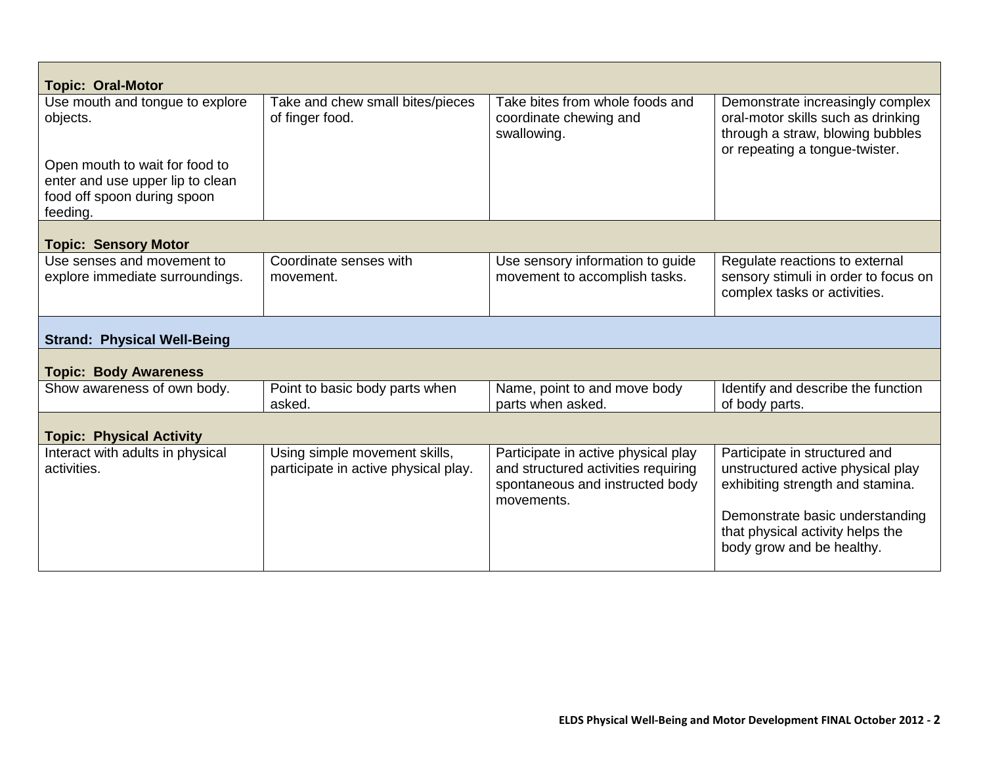| <b>Topic: Oral-Motor</b>                                                                                                                                     |                                                                       |                                                                                                                             |                                                                                                                                                                                                            |  |  |  |
|--------------------------------------------------------------------------------------------------------------------------------------------------------------|-----------------------------------------------------------------------|-----------------------------------------------------------------------------------------------------------------------------|------------------------------------------------------------------------------------------------------------------------------------------------------------------------------------------------------------|--|--|--|
| Use mouth and tongue to explore<br>objects.<br>Open mouth to wait for food to<br>enter and use upper lip to clean<br>food off spoon during spoon<br>feeding. | Take and chew small bites/pieces<br>of finger food.                   | Take bites from whole foods and<br>coordinate chewing and<br>swallowing.                                                    | Demonstrate increasingly complex<br>oral-motor skills such as drinking<br>through a straw, blowing bubbles<br>or repeating a tongue-twister.                                                               |  |  |  |
| <b>Topic: Sensory Motor</b>                                                                                                                                  |                                                                       |                                                                                                                             |                                                                                                                                                                                                            |  |  |  |
| Use senses and movement to<br>explore immediate surroundings.                                                                                                | Coordinate senses with<br>movement.                                   | Use sensory information to guide<br>movement to accomplish tasks.                                                           | Regulate reactions to external<br>sensory stimuli in order to focus on<br>complex tasks or activities.                                                                                                     |  |  |  |
| <b>Strand: Physical Well-Being</b>                                                                                                                           |                                                                       |                                                                                                                             |                                                                                                                                                                                                            |  |  |  |
| <b>Topic: Body Awareness</b>                                                                                                                                 |                                                                       |                                                                                                                             |                                                                                                                                                                                                            |  |  |  |
| Show awareness of own body.                                                                                                                                  | Point to basic body parts when<br>asked.                              | Name, point to and move body<br>parts when asked.                                                                           | Identify and describe the function<br>of body parts.                                                                                                                                                       |  |  |  |
| <b>Topic: Physical Activity</b>                                                                                                                              |                                                                       |                                                                                                                             |                                                                                                                                                                                                            |  |  |  |
| Interact with adults in physical<br>activities.                                                                                                              | Using simple movement skills,<br>participate in active physical play. | Participate in active physical play<br>and structured activities requiring<br>spontaneous and instructed body<br>movements. | Participate in structured and<br>unstructured active physical play<br>exhibiting strength and stamina.<br>Demonstrate basic understanding<br>that physical activity helps the<br>body grow and be healthy. |  |  |  |